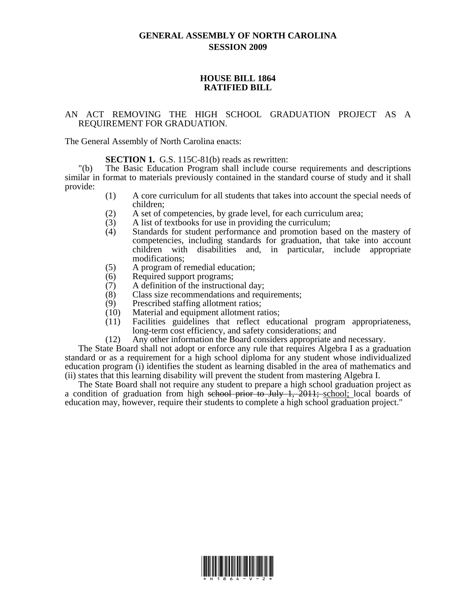## **GENERAL ASSEMBLY OF NORTH CAROLINA SESSION 2009**

## **HOUSE BILL 1864 RATIFIED BILL**

## AN ACT REMOVING THE HIGH SCHOOL GRADUATION PROJECT AS A REQUIREMENT FOR GRADUATION.

The General Assembly of North Carolina enacts:

**SECTION 1.** G.S. 115C-81(b) reads as rewritten:

"(b) The Basic Education Program shall include course requirements and descriptions similar in format to materials previously contained in the standard course of study and it shall provide:

- (1) A core curriculum for all students that takes into account the special needs of children;
- (2) A set of competencies, by grade level, for each curriculum area;
- $(3)$  A list of textbooks for use in providing the curriculum;
- (4) Standards for student performance and promotion based on the mastery of competencies, including standards for graduation, that take into account children with disabilities and, in particular, include appropriate modifications;
- (5) A program of remedial education;
- (6) Required support programs;
- (7) A definition of the instructional day;
- (8) Class size recommendations and requirements;
- (9) Prescribed staffing allotment ratios;
- (10) Material and equipment allotment ratios;
- (11) Facilities guidelines that reflect educational program appropriateness, long-term cost efficiency, and safety considerations; and
- (12) Any other information the Board considers appropriate and necessary.

The State Board shall not adopt or enforce any rule that requires Algebra I as a graduation standard or as a requirement for a high school diploma for any student whose individualized education program (i) identifies the student as learning disabled in the area of mathematics and (ii) states that this learning disability will prevent the student from mastering Algebra I.

The State Board shall not require any student to prepare a high school graduation project as a condition of graduation from high school prior to July 1,  $\overline{2011}$ ; school; local boards of education may, however, require their students to complete a high school graduation project."